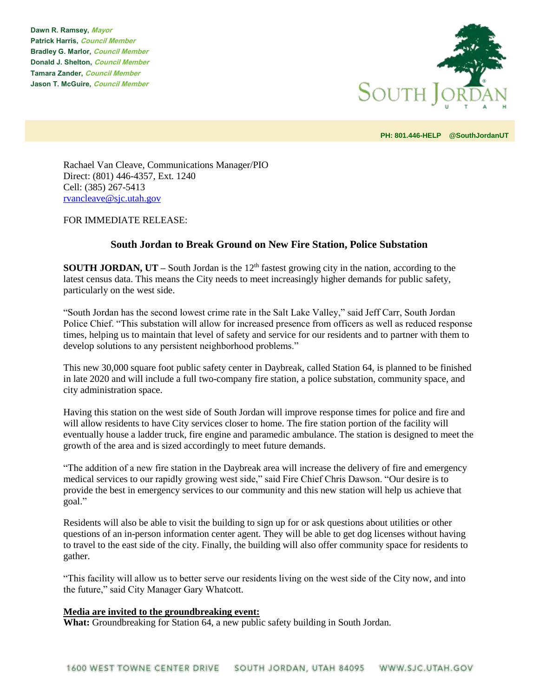**Dawn R. Ramsey, Mayor Patrick Harris, Council Member Bradley G. Marlor, Council Member Donald J. Shelton, Council Member Tamara Zander, Council Member Jason T. McGuire, Council Member**



**PH: 801.446-HELP @SouthJordanUT** 

Rachael Van Cleave, Communications Manager/PIO Direct: (801) 446-4357, Ext. 1240 Cell: (385) 267-5413 [rvancleave@sjc.utah.gov](mailto:rvancleave@sjc.utah.gov)

FOR IMMEDIATE RELEASE:

## **South Jordan to Break Ground on New Fire Station, Police Substation**

**SOUTH JORDAN, UT** – South Jordan is the 12<sup>th</sup> fastest growing city in the nation, according to the latest census data. This means the City needs to meet increasingly higher demands for public safety, particularly on the west side.

"South Jordan has the second lowest crime rate in the Salt Lake Valley," said Jeff Carr, South Jordan Police Chief. "This substation will allow for increased presence from officers as well as reduced response times, helping us to maintain that level of safety and service for our residents and to partner with them to develop solutions to any persistent neighborhood problems."

This new 30,000 square foot public safety center in Daybreak, called Station 64, is planned to be finished in late 2020 and will include a full two-company fire station, a police substation, community space, and city administration space.

Having this station on the west side of South Jordan will improve response times for police and fire and will allow residents to have City services closer to home. The fire station portion of the facility will eventually house a ladder truck, fire engine and paramedic ambulance. The station is designed to meet the growth of the area and is sized accordingly to meet future demands.

"The addition of a new fire station in the Daybreak area will increase the delivery of fire and emergency medical services to our rapidly growing west side," said Fire Chief Chris Dawson. "Our desire is to provide the best in emergency services to our community and this new station will help us achieve that goal."

Residents will also be able to visit the building to sign up for or ask questions about utilities or other questions of an in-person information center agent. They will be able to get dog licenses without having to travel to the east side of the city. Finally, the building will also offer community space for residents to gather.

"This facility will allow us to better serve our residents living on the west side of the City now, and into the future," said City Manager Gary Whatcott.

## **Media are invited to the groundbreaking event:**

**What:** Groundbreaking for Station 64, a new public safety building in South Jordan.